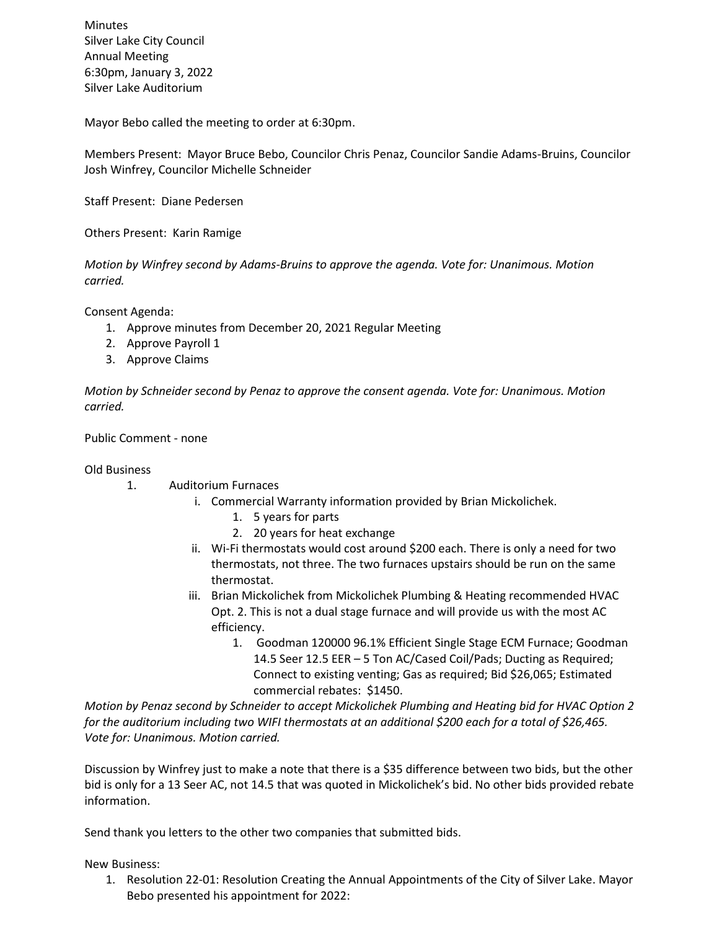Minutes Silver Lake City Council Annual Meeting 6:30pm, January 3, 2022 Silver Lake Auditorium

Mayor Bebo called the meeting to order at 6:30pm.

Members Present: Mayor Bruce Bebo, Councilor Chris Penaz, Councilor Sandie Adams-Bruins, Councilor Josh Winfrey, Councilor Michelle Schneider

Staff Present: Diane Pedersen

Others Present: Karin Ramige

*Motion by Winfrey second by Adams-Bruins to approve the agenda. Vote for: Unanimous. Motion carried.*

Consent Agenda:

- 1. Approve minutes from December 20, 2021 Regular Meeting
- 2. Approve Payroll 1
- 3. Approve Claims

*Motion by Schneider second by Penaz to approve the consent agenda. Vote for: Unanimous. Motion carried.*

Public Comment - none

Old Business

- 1. Auditorium Furnaces
	- i. Commercial Warranty information provided by Brian Mickolichek.
		- 1. 5 years for parts
		- 2. 20 years for heat exchange
		- ii. Wi-Fi thermostats would cost around \$200 each. There is only a need for two thermostats, not three. The two furnaces upstairs should be run on the same thermostat.
		- iii. Brian Mickolichek from Mickolichek Plumbing & Heating recommended HVAC Opt. 2. This is not a dual stage furnace and will provide us with the most AC efficiency.
			- 1. Goodman 120000 96.1% Efficient Single Stage ECM Furnace; Goodman 14.5 Seer 12.5 EER – 5 Ton AC/Cased Coil/Pads; Ducting as Required; Connect to existing venting; Gas as required; Bid \$26,065; Estimated commercial rebates: \$1450.

*Motion by Penaz second by Schneider to accept Mickolichek Plumbing and Heating bid for HVAC Option 2 for the auditorium including two WIFI thermostats at an additional \$200 each for a total of \$26,465. Vote for: Unanimous. Motion carried.*

Discussion by Winfrey just to make a note that there is a \$35 difference between two bids, but the other bid is only for a 13 Seer AC, not 14.5 that was quoted in Mickolichek's bid. No other bids provided rebate information.

Send thank you letters to the other two companies that submitted bids.

New Business:

1. Resolution 22-01: Resolution Creating the Annual Appointments of the City of Silver Lake. Mayor Bebo presented his appointment for 2022: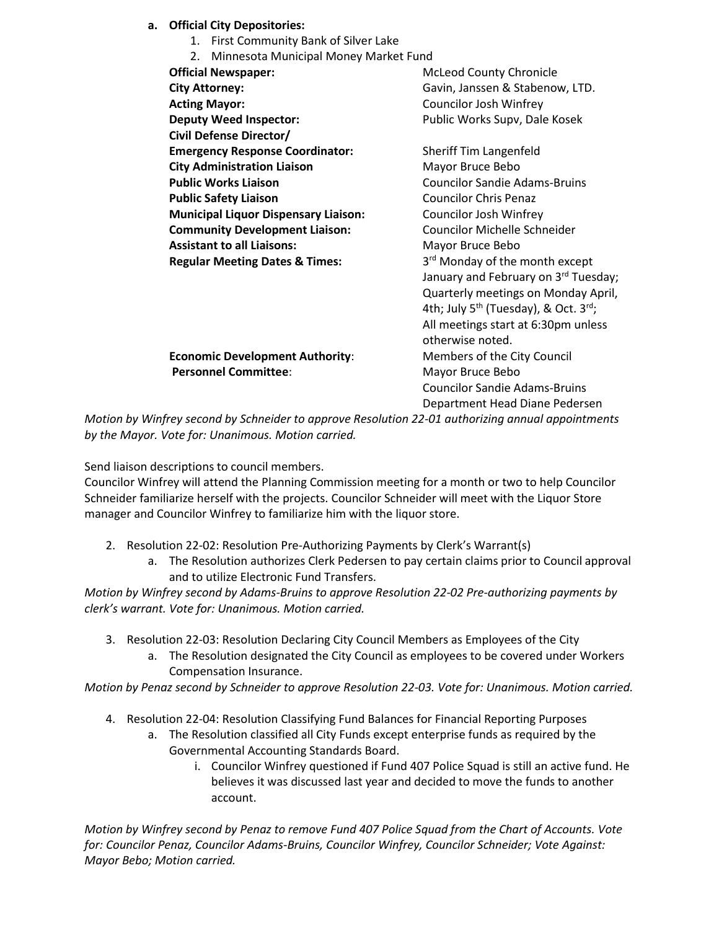- **a. Official City Depositories:**
	- 1. First Community Bank of Silver Lake
	- 2. Minnesota Municipal Money Market Fund

| <b>Official Newspaper:</b>                                                                         | <b>McLeod County Chronicle</b>                         |
|----------------------------------------------------------------------------------------------------|--------------------------------------------------------|
| <b>City Attorney:</b>                                                                              | Gavin, Janssen & Stabenow, LTD.                        |
| <b>Acting Mayor:</b>                                                                               | Councilor Josh Winfrey                                 |
| <b>Deputy Weed Inspector:</b>                                                                      | Public Works Supv, Dale Kosek                          |
| <b>Civil Defense Director/</b>                                                                     |                                                        |
| <b>Emergency Response Coordinator:</b>                                                             | Sheriff Tim Langenfeld                                 |
| <b>City Administration Liaison</b>                                                                 | Mayor Bruce Bebo                                       |
| <b>Public Works Liaison</b>                                                                        | <b>Councilor Sandie Adams-Bruins</b>                   |
| <b>Public Safety Liaison</b>                                                                       | <b>Councilor Chris Penaz</b>                           |
| <b>Municipal Liquor Dispensary Liaison:</b>                                                        | Councilor Josh Winfrey                                 |
| <b>Community Development Liaison:</b>                                                              | Councilor Michelle Schneider                           |
| <b>Assistant to all Liaisons:</b>                                                                  | Mayor Bruce Bebo                                       |
| <b>Regular Meeting Dates &amp; Times:</b>                                                          | 3rd Monday of the month except                         |
|                                                                                                    | January and February on 3rd Tuesday;                   |
|                                                                                                    | Quarterly meetings on Monday April,                    |
|                                                                                                    | 4th; July 5 <sup>th</sup> (Tuesday), & Oct. $3^{rd}$ ; |
|                                                                                                    | All meetings start at 6:30pm unless                    |
|                                                                                                    | otherwise noted.                                       |
| <b>Economic Development Authority:</b>                                                             | Members of the City Council                            |
| <b>Personnel Committee:</b>                                                                        | Mayor Bruce Bebo                                       |
|                                                                                                    | <b>Councilor Sandie Adams-Bruins</b>                   |
|                                                                                                    | Department Head Diane Pedersen                         |
| Mation bu Winfrou cooped by Cohnoiderto grapeus Bosolution 22,01 qutborizing grapusl grapeintmonto |                                                        |

*Motion by Winfrey second by Schneider to approve Resolution 22-01 authorizing annual appointments by the Mayor. Vote for: Unanimous. Motion carried.*

Send liaison descriptions to council members.

Councilor Winfrey will attend the Planning Commission meeting for a month or two to help Councilor Schneider familiarize herself with the projects. Councilor Schneider will meet with the Liquor Store manager and Councilor Winfrey to familiarize him with the liquor store.

- 2. Resolution 22-02: Resolution Pre-Authorizing Payments by Clerk's Warrant(s)
	- a. The Resolution authorizes Clerk Pedersen to pay certain claims prior to Council approval and to utilize Electronic Fund Transfers.

*Motion by Winfrey second by Adams-Bruins to approve Resolution 22-02 Pre-authorizing payments by clerk's warrant. Vote for: Unanimous. Motion carried.*

- 3. Resolution 22-03: Resolution Declaring City Council Members as Employees of the City
	- a. The Resolution designated the City Council as employees to be covered under Workers Compensation Insurance.

*Motion by Penaz second by Schneider to approve Resolution 22-03. Vote for: Unanimous. Motion carried.*

- 4. Resolution 22-04: Resolution Classifying Fund Balances for Financial Reporting Purposes
	- a. The Resolution classified all City Funds except enterprise funds as required by the Governmental Accounting Standards Board.
		- i. Councilor Winfrey questioned if Fund 407 Police Squad is still an active fund. He believes it was discussed last year and decided to move the funds to another account.

*Motion by Winfrey second by Penaz to remove Fund 407 Police Squad from the Chart of Accounts. Vote for: Councilor Penaz, Councilor Adams-Bruins, Councilor Winfrey, Councilor Schneider; Vote Against: Mayor Bebo; Motion carried.*